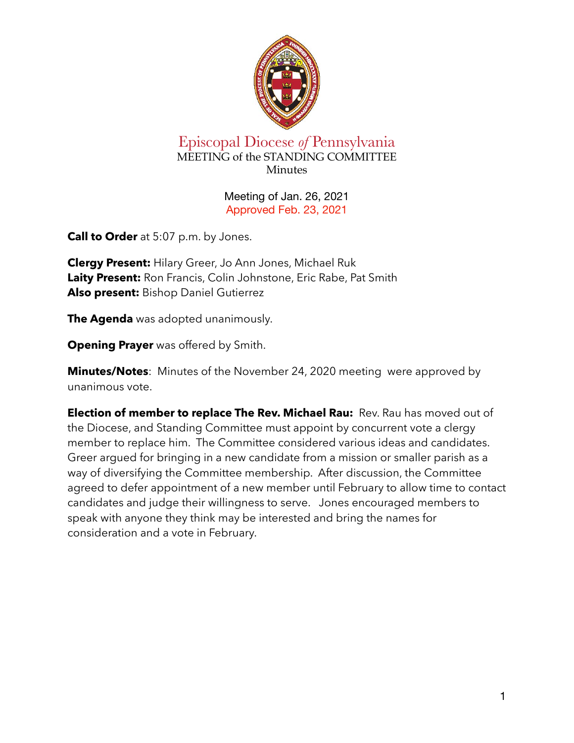

## Episcopal Diocese *of* Pennsylvania MEETING of the STANDING COMMITTEE Minutes

Meeting of Jan. 26, 2021 Approved Feb. 23, 2021

**Call to Order** at 5:07 p.m. by Jones.

**Clergy Present:** Hilary Greer, Jo Ann Jones, Michael Ruk **Laity Present:** Ron Francis, Colin Johnstone, Eric Rabe, Pat Smith **Also present:** Bishop Daniel Gutierrez

**The Agenda** was adopted unanimously.

**Opening Prayer** was offered by Smith.

**Minutes/Notes**: Minutes of the November 24, 2020 meeting were approved by unanimous vote.

**Election of member to replace The Rev. Michael Rau:** Rev. Rau has moved out of the Diocese, and Standing Committee must appoint by concurrent vote a clergy member to replace him. The Committee considered various ideas and candidates. Greer argued for bringing in a new candidate from a mission or smaller parish as a way of diversifying the Committee membership. After discussion, the Committee agreed to defer appointment of a new member until February to allow time to contact candidates and judge their willingness to serve. Jones encouraged members to speak with anyone they think may be interested and bring the names for consideration and a vote in February.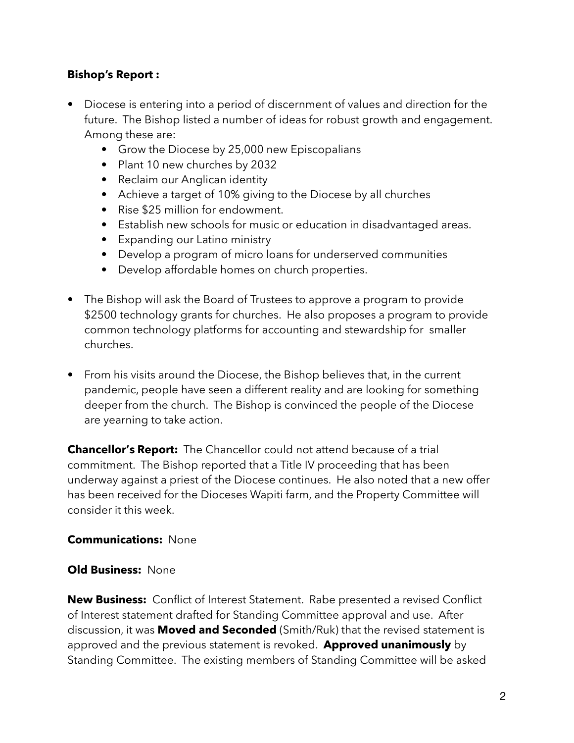### **Bishop's Report :**

- **•** Diocese is entering into a period of discernment of values and direction for the future. The Bishop listed a number of ideas for robust growth and engagement. Among these are:
	- **•** Grow the Diocese by 25,000 new Episcopalians
	- **•** Plant 10 new churches by 2032
	- **•** Reclaim our Anglican identity
	- **•** Achieve a target of 10% giving to the Diocese by all churches
	- **•** Rise \$25 million for endowment.
	- **•** Establish new schools for music or education in disadvantaged areas.
	- **•** Expanding our Latino ministry
	- **•** Develop a program of micro loans for underserved communities
	- **•** Develop affordable homes on church properties.
- **•** The Bishop will ask the Board of Trustees to approve a program to provide \$2500 technology grants for churches. He also proposes a program to provide common technology platforms for accounting and stewardship for smaller churches.
- **•** From his visits around the Diocese, the Bishop believes that, in the current pandemic, people have seen a different reality and are looking for something deeper from the church. The Bishop is convinced the people of the Diocese are yearning to take action.

**Chancellor's Report:** The Chancellor could not attend because of a trial commitment. The Bishop reported that a Title IV proceeding that has been underway against a priest of the Diocese continues. He also noted that a new offer has been received for the Dioceses Wapiti farm, and the Property Committee will consider it this week.

#### **Communications:** None

#### **Old Business:** None

**New Business:** Conflict of Interest Statement. Rabe presented a revised Conflict of Interest statement drafted for Standing Committee approval and use. After discussion, it was **Moved and Seconded** (Smith/Ruk) that the revised statement is approved and the previous statement is revoked. **Approved unanimously** by Standing Committee. The existing members of Standing Committee will be asked